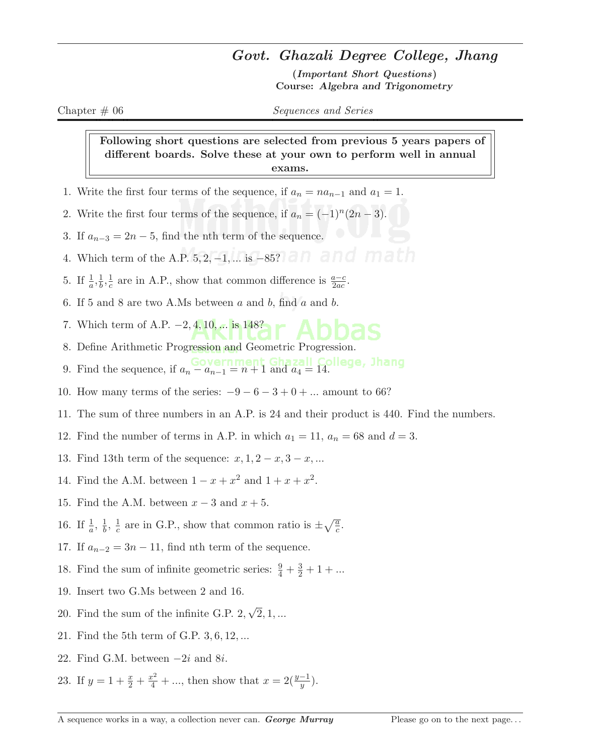## Govt. Ghazali Degree College, Jhang

(Important Short Questions) Course: Algebra and Trigonometry

Chapter # 06 Sequences and Series

Following short questions are selected from previous 5 years papers of different boards. Solve these at your own to perform well in annual exams.

- 1. Write the first four terms of the sequence, if  $a_n = na_{n-1}$  and  $a_1 = 1$ .
- 2. Write the first four terms of the sequence, if  $a_n = (-1)^n (2n-3)$ .
- 3. If  $a_{n-3} = 2n 5$ , find the nth term of the sequence.
- 4. Which term of the A.P. 5, 2, -1, ... is −85?
- 5. If  $\frac{1}{a}, \frac{1}{b}$  $\frac{1}{b}, \frac{1}{c}$  $\frac{1}{c}$  are in A.P., show that common difference is  $\frac{a-c}{2ac}$ .
- 6. If 5 and 8 are two A.Ms between  $a$  and  $b$ , find  $a$  and  $b$ .
- 7. Which term of A.P.  $-2, 4, 10, \dots$  is 148?
- 8. Define Arithmetic Progression and Geometric Progression.
- 9. Find the sequence, if  $a_n a_{n-1} = n + 1$  and  $a_4 = 14$ .
- 10. How many terms of the series:  $-9-6-3+0+...$  amount to 66?
- 11. The sum of three numbers in an A.P. is 24 and their product is 440. Find the numbers.
- 12. Find the number of terms in A.P. in which  $a_1 = 11$ ,  $a_n = 68$  and  $d = 3$ .
- 13. Find 13th term of the sequence:  $x, 1, 2-x, 3-x, ...$
- 14. Find the A.M. between  $1 x + x^2$  and  $1 + x + x^2$ .
- 15. Find the A.M. between  $x 3$  and  $x + 5$ .
- 16. If  $\frac{1}{a}$ ,  $\frac{1}{b}$  $\frac{1}{b}$ ,  $\frac{1}{c}$  $\frac{1}{c}$  are in G.P., show that common ratio is  $\pm \sqrt{\frac{a}{c}}$ .
- 17. If  $a_{n-2} = 3n 11$ , find nth term of the sequence.
- 18. Find the sum of infinite geometric series:  $\frac{9}{4} + \frac{3}{2} + 1 + \dots$
- 19. Insert two G.Ms between 2 and 16.
- 20. Find the sum of the infinite G.P. 2, √  $2, 1, ...$
- 21. Find the 5th term of G.P. 3, 6, 12, ...
- 22. Find G.M. between  $-2i$  and  $8i$ .
- 23. If  $y = 1 + \frac{x}{2} + \frac{x^2}{4} + \dots$ , then show that  $x = 2(\frac{y-1}{y})$ .